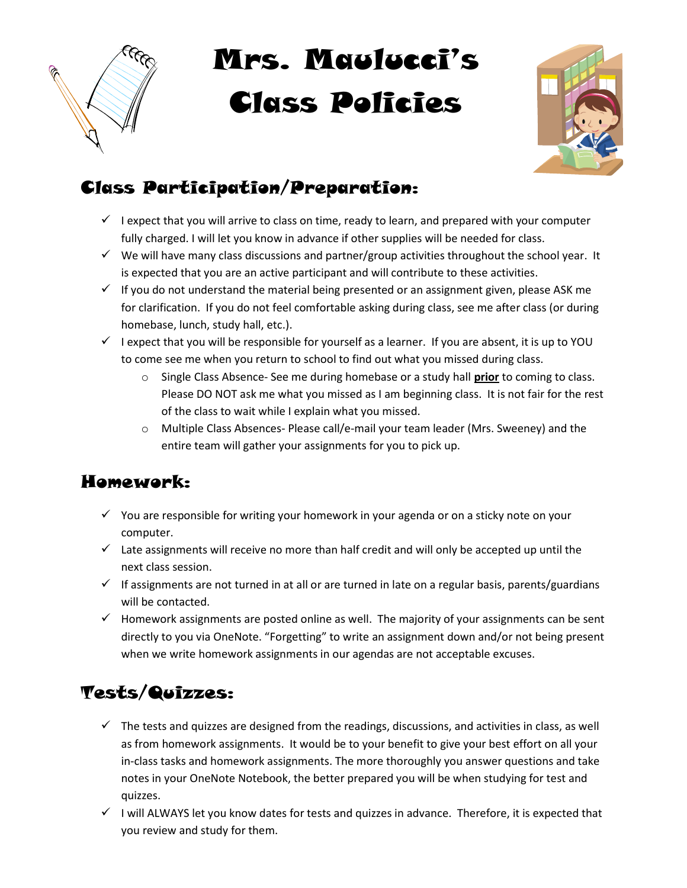

# Mrs. Maulucci's Class Policies



## Class Participation/Preparation:

- $\checkmark$  I expect that you will arrive to class on time, ready to learn, and prepared with your computer fully charged. I will let you know in advance if other supplies will be needed for class.
- $\checkmark$  We will have many class discussions and partner/group activities throughout the school year. It is expected that you are an active participant and will contribute to these activities.
- $\checkmark$  If you do not understand the material being presented or an assignment given, please ASK me for clarification. If you do not feel comfortable asking during class, see me after class (or during homebase, lunch, study hall, etc.).
- $\checkmark$  I expect that you will be responsible for yourself as a learner. If you are absent, it is up to YOU to come see me when you return to school to find out what you missed during class.
	- $\circ$  Single Class Absence- See me during homebase or a study hall prior to coming to class. Please DO NOT ask me what you missed as I am beginning class. It is not fair for the rest of the class to wait while I explain what you missed.
	- o Multiple Class Absences- Please call/e-mail your team leader (Mrs. Sweeney) and the entire team will gather your assignments for you to pick up.

### Homework:

- $\checkmark$  You are responsible for writing your homework in your agenda or on a sticky note on your computer.
- $\checkmark$  Late assignments will receive no more than half credit and will only be accepted up until the next class session.
- $\checkmark$  If assignments are not turned in at all or are turned in late on a regular basis, parents/guardians will be contacted.
- $\checkmark$  Homework assignments are posted online as well. The majority of your assignments can be sent directly to you via OneNote. "Forgetting" to write an assignment down and/or not being present when we write homework assignments in our agendas are not acceptable excuses.

# Tests/Quizzes:

- $\checkmark$  The tests and quizzes are designed from the readings, discussions, and activities in class, as well as from homework assignments. It would be to your benefit to give your best effort on all your in-class tasks and homework assignments. The more thoroughly you answer questions and take notes in your OneNote Notebook, the better prepared you will be when studying for test and quizzes.
- $\checkmark$  I will ALWAYS let you know dates for tests and quizzes in advance. Therefore, it is expected that you review and study for them.